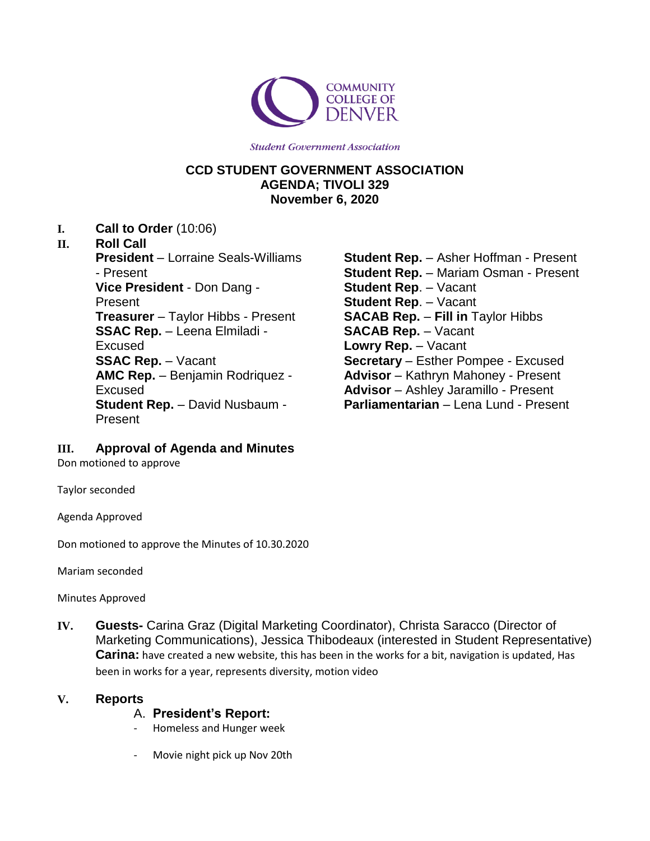

**Student Government Association** 

## **CCD STUDENT GOVERNMENT ASSOCIATION AGENDA; TIVOLI 329 November 6, 2020**

**I. Call to Order** (10:06)

#### **II. Roll Call**

**President** – Lorraine Seals-Williams - Present **Vice President** - Don Dang - Present **Treasurer** – Taylor Hibbs - Present **SSAC Rep.** – Leena Elmiladi - Excused **SSAC Rep.** – Vacant **AMC Rep.** – Benjamin Rodriquez - Excused **Student Rep.** – David Nusbaum - Present

**Student Rep.** – Asher Hoffman - Present **Student Rep.** – Mariam Osman - Present **Student Rep**. – Vacant **Student Rep**. – Vacant **SACAB Rep.** – **Fill in** Taylor Hibbs **SACAB Rep.** – Vacant **Lowry Rep.** – Vacant **Secretary** – Esther Pompee - Excused **Advisor** – Kathryn Mahoney - Present **Advisor** – Ashley Jaramillo - Present **Parliamentarian** – Lena Lund - Present

## **III. Approval of Agenda and Minutes**

Don motioned to approve

Taylor seconded

Agenda Approved

Don motioned to approve the Minutes of 10.30.2020

Mariam seconded

Minutes Approved

**IV. Guests-** Carina Graz (Digital Marketing Coordinator), Christa Saracco (Director of Marketing Communications), Jessica Thibodeaux (interested in Student Representative) **Carina:** have created a new website, this has been in the works for a bit, navigation is updated, Has been in works for a year, represents diversity, motion video

## **V. Reports**

- A. **President's Report:**
- Homeless and Hunger week
- Movie night pick up Nov 20th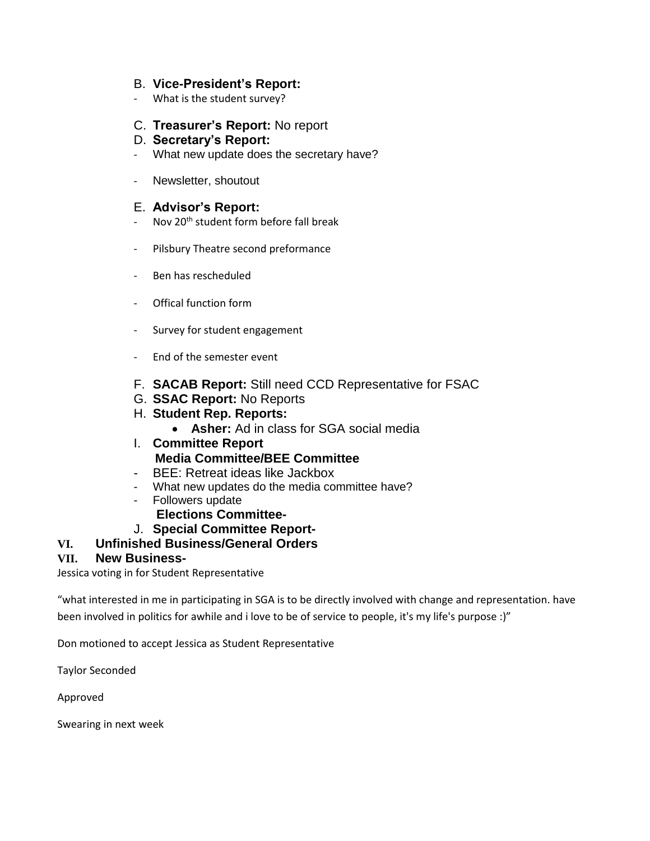#### B. **Vice-President's Report:**

- What is the student survey?

## C. **Treasurer's Report:** No report

#### D. **Secretary's Report:**

- What new update does the secretary have?
- Newsletter, shoutout

## E. **Advisor's Report:**

- Nov 20<sup>th</sup> student form before fall break
- Pilsbury Theatre second preformance
- Ben has rescheduled
- Offical function form
- Survey for student engagement
- End of the semester event
- F. **SACAB Report:** Still need CCD Representative for FSAC
- G. **SSAC Report:** No Reports
- H. **Student Rep. Reports:**
	- **Asher:** Ad in class for SGA social media
- I. **Committee Report Media Committee/BEE Committee**
- BEE: Retreat ideas like Jackbox
- What new updates do the media committee have?
- Followers update
	- **Elections Committee-**
- J. **Special Committee Report-**

## **VI. Unfinished Business/General Orders**

#### **VII. New Business-**

Jessica voting in for Student Representative

"what interested in me in participating in SGA is to be directly involved with change and representation. have been involved in politics for awhile and i love to be of service to people, it's my life's purpose :)"

Don motioned to accept Jessica as Student Representative

Taylor Seconded

Approved

Swearing in next week